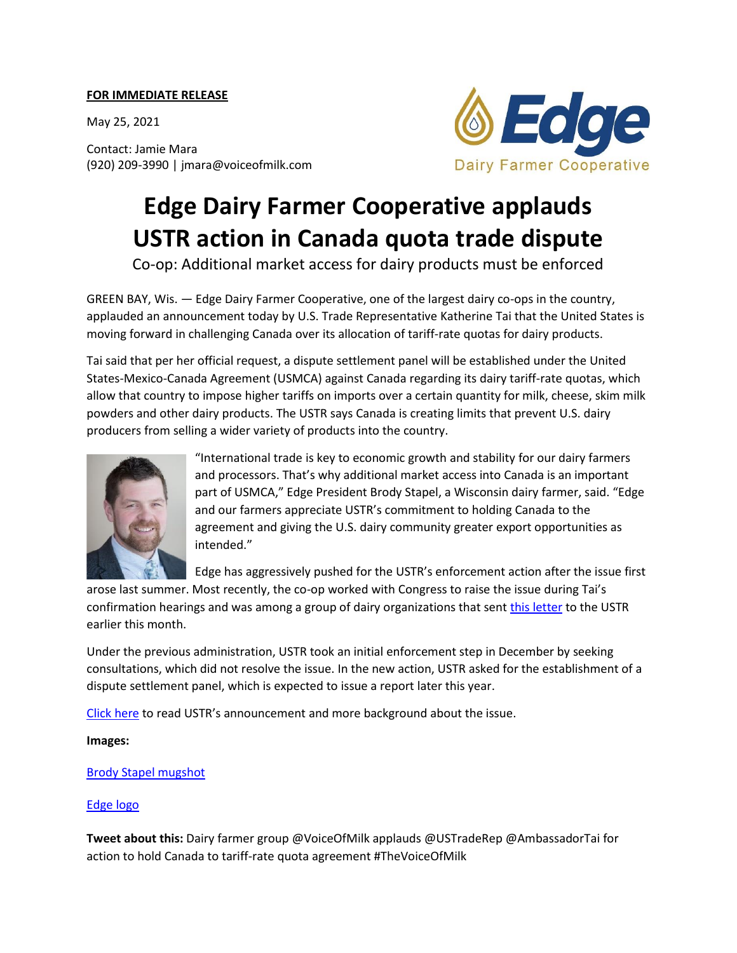## **FOR IMMEDIATE RELEASE**

May 25, 2021

Contact: Jamie Mara (920) 209-3990 | jmara@voiceofmilk.com



## **Edge Dairy Farmer Cooperative applauds USTR action in Canada quota trade dispute**

Co-op: Additional market access for dairy products must be enforced

GREEN BAY, Wis. — Edge Dairy Farmer Cooperative, one of the largest dairy co-ops in the country, applauded an announcement today by U.S. Trade Representative Katherine Tai that the United States is moving forward in challenging Canada over its allocation of tariff-rate quotas for dairy products.

Tai said that per her official request, a dispute settlement panel will be established under the United States-Mexico-Canada Agreement (USMCA) against Canada regarding its dairy tariff-rate quotas, which allow that country to impose higher tariffs on imports over a certain quantity for milk, cheese, skim milk powders and other dairy products. The USTR says Canada is creating limits that prevent U.S. dairy producers from selling a wider variety of products into the country.



"International trade is key to economic growth and stability for our dairy farmers and processors. That's why additional market access into Canada is an important part of USMCA," Edge President Brody Stapel, a Wisconsin dairy farmer, said. "Edge and our farmers appreciate USTR's commitment to holding Canada to the agreement and giving the U.S. dairy community greater export opportunities as intended."

Edge has aggressively pushed for the USTR's enforcement action after the issue first

arose last summer. Most recently, the co-op worked with Congress to raise the issue during Tai's confirmation hearings and was among a group of dairy organizations that sent [this letter](https://cdn.ymaws.com/www.voiceofmilk.com/resource/resmgr/docs/amb._tai_letter_from_dairy_c.pdf) to the USTR earlier this month.

Under the previous administration, USTR took an initial enforcement step in December by seeking consultations, which did not resolve the issue. In the new action, USTR asked for the establishment of a dispute settlement panel, which is expected to issue a report later this year.

[Click here](https://ustr.gov/about-us/policy-offices/press-office/press-releases/2021/may/united-states-advances-first-usmca-dispute-panel-enforce-canadas-dairy-commitments) to read USTR's announcement and more background about the issue.

**Images:**

[Brody Stapel mugshot](https://cdn.ymaws.com/www.voiceofmilk.com/resource/resmgr/images/board_of_directors/brody_stapel_highres.jpg)

## [Edge logo](https://cdn.ymaws.com/www.voiceofmilk.com/resource/resmgr/logos/edge_logo_300_dpi.jpg)

**Tweet about this:** Dairy farmer group @VoiceOfMilk applauds @USTradeRep @AmbassadorTai for action to hold Canada to tariff-rate quota agreement #TheVoiceOfMilk